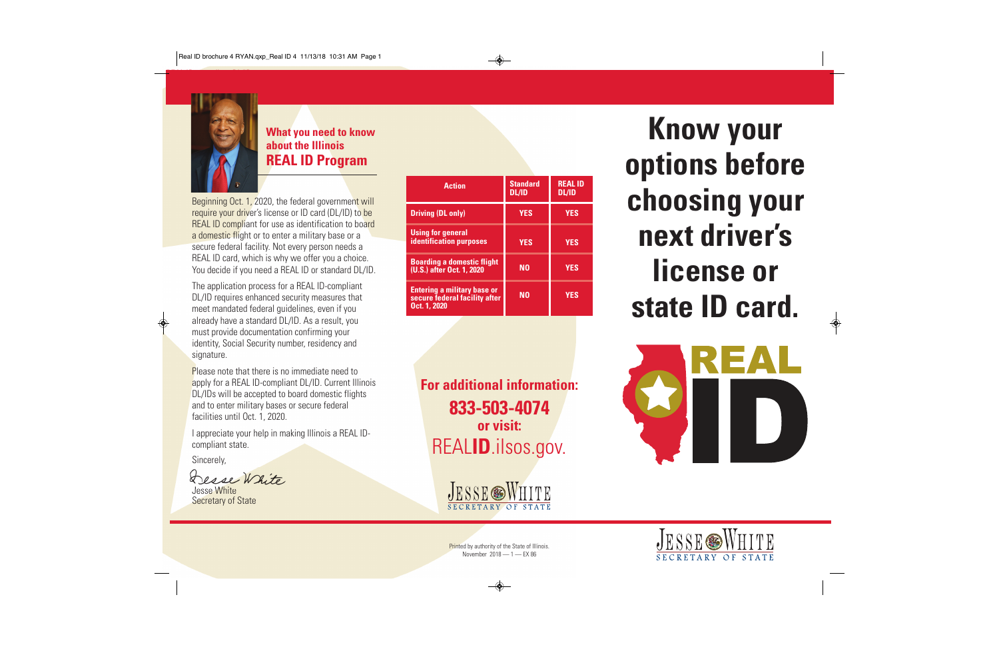

### **What you need to know about the Illinois REAL ID Program**

Beginning Oct. 1, 2020, the federal government will require your driver's license or ID card (DL/ID) to be REAL ID compliant for use as identification to board a domestic flight or to enter a military base or a secure federal facility. Not every person needs a REAL ID card, which is why we offer you a choice. You decide if you need a REAL ID or standard DL/ID.

The application process for a REAL ID-compliant DL/ID requires enhanced security measures that meet mandated federal guidelines, even if you already have a standard DL/ID. As a result, you must provide documentation confirming your identity, Social Security number, residency and signature.

Please note that there is no immediate need to apply for a REAL ID-compliant DL/ID. Current Illinois DL/IDs will be accepted to board domestic flights and to enter military bases or secure federal facilities until Oct. 1, 2020.

I appreciate your help in making Illinois a REAL IDcompliant state.

Sincerely,

Desse White

Jesse White Secretary of State

| <b>Action</b>                                                                       | <b>Standard</b><br><b>DL/ID</b> | <b>REAL ID</b><br><b>DL/ID</b> |
|-------------------------------------------------------------------------------------|---------------------------------|--------------------------------|
| <b>Driving (DL only)</b>                                                            | <b>YES</b>                      | <b>YES</b>                     |
| <b>Using for general</b><br><b>identification purposes</b>                          | <b>YES</b>                      | <b>YES</b>                     |
| <b>Boarding a domestic flight</b><br>(U.S.) after Oct. 1, 2020                      | N <sub>0</sub>                  | <b>YES</b>                     |
| <b>Entering a military base or</b><br>secure federal facility after<br>Oct. 1, 2020 | N0                              | <b>YES</b>                     |

**For additional information: 833-503-4074 or visit:** REAL**ID**.ilsos.gov.



**Know your options before choosing your next driver's license or state ID card.**